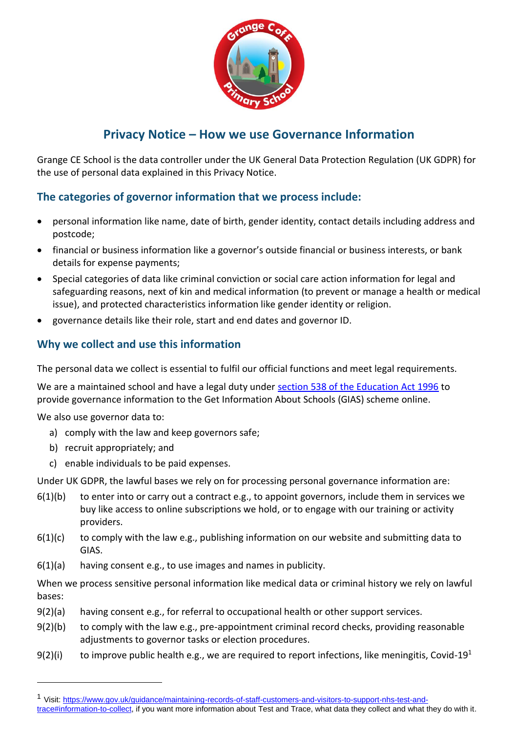

# **Privacy Notice – How we use Governance Information**

Grange CE School is the data controller under the UK General Data Protection Regulation (UK GDPR) for the use of personal data explained in this Privacy Notice.

## **The categories of governor information that we process include:**

- personal information like name, date of birth, gender identity, contact details including address and postcode;
- financial or business information like a governor's outside financial or business interests, or bank details for expense payments;
- Special categories of data like criminal conviction or social care action information for legal and safeguarding reasons, next of kin and medical information (to prevent or manage a health or medical issue), and protected characteristics information like gender identity or religion.
- governance details like their role, start and end dates and governor ID.

## **Why we collect and use this information**

The personal data we collect is essential to fulfil our official functions and meet legal requirements.

We are a maintained school and have a legal duty under [section 538 of the Education Act 1996](http://www.legislation.gov.uk/ukpga/1996/56/section/538) to provide governance information to the Get Information About Schools (GIAS) scheme online.

We also use governor data to:

l

- a) comply with the law and keep governors safe;
- b) recruit appropriately; and
- c) enable individuals to be paid expenses.

Under UK GDPR, the lawful bases we rely on for processing personal governance information are:

- $6(1)(b)$  to enter into or carry out a contract e.g., to appoint governors, include them in services we buy like access to online subscriptions we hold, or to engage with our training or activity providers.
- $6(1)(c)$  to comply with the law e.g., publishing information on our website and submitting data to GIAS.
- 6(1)(a) having consent e.g., to use images and names in publicity.

When we process sensitive personal information like medical data or criminal history we rely on lawful bases:

- $9(2)(a)$  having consent e.g., for referral to occupational health or other support services.
- 9(2)(b) to comply with the law e.g., pre-appointment criminal record checks, providing reasonable adjustments to governor tasks or election procedures.
- 9(2)(i) to improve public health e.g., we are required to report infections, like meningitis, Covid-19<sup>1</sup>

<sup>&</sup>lt;sup>1</sup> Visit: [https://www.gov.uk/guidance/maintaining-records-of-staff-customers-and-visitors-to-support-nhs-test-and](https://www.gov.uk/guidance/maintaining-records-of-staff-customers-and-visitors-to-support-nhs-test-and-trace#information-to-collect)[trace#information-to-collect,](https://www.gov.uk/guidance/maintaining-records-of-staff-customers-and-visitors-to-support-nhs-test-and-trace#information-to-collect) if you want more information about Test and Trace, what data they collect and what they do with it.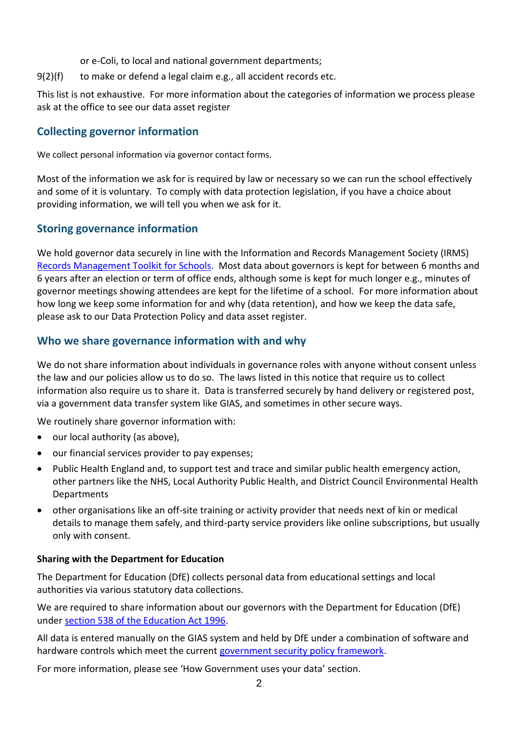- or e-Coli, to local and national government departments;
- 9(2)(f) to make or defend a legal claim e.g., all accident records etc.

This list is not exhaustive. For more information about the categories of information we process please ask at the office to see our [data asset register](https://ico.org.uk/for-organisations/accountability-framework/records-management-and-security/information-asset-register/)

#### **Collecting governor information**

We collect personal information via governor contact forms.

Most of the information we ask for is required by law or necessary so we can run the school effectively and some of it is voluntary. To comply with data protection legislation, if you have a choice about providing information, we will tell you when we ask for it.

#### **Storing governance information**

We hold governor data securely in line with the Information and Records Management Society (IRMS) [Records Management Toolkit for Schools.](https://irms.org.uk/general/custom.asp?page=SchoolsToolkit) Most data about governors is kept for between 6 months and 6 years after an election or term of office ends, although some is kept for much longer e.g., minutes of governor meetings showing attendees are kept for the lifetime of a school. For more information about how long we keep some information for and why (data retention), and how we keep the data safe, please ask to our [Data Protection Policy](https://www.kymallanhsc.co.uk/Document/DownloadDocument/7909) an[d data asset register.](https://ico.org.uk/for-organisations/accountability-framework/records-management-and-security/information-asset-register/)

#### **Who we share governance information with and why**

We do not share information about individuals in governance roles with anyone without consent unless the law and our policies allow us to do so. The laws listed in this notice that require us to collect information also require us to share it. Data is transferred securely by hand delivery or registered post, via a government data transfer system like GIAS, and sometimes in other secure ways.

We routinely share governor information with:

- our local authority (as above),
- our financial services provider to pay expenses;
- Public Health England and, to support test and trace and similar public health emergency action, other partners like the NHS, Local Authority Public Health, and District Council Environmental Health Departments
- other organisations like an off-site training or activity provider that needs next of kin or medical details to manage them safely, and third-party service providers like online subscriptions, but usually only with consent.

#### **Sharing with the Department for Education**

The Department for Education (DfE) collects personal data from educational settings and local authorities via various statutory data collections.

We are required to share information about our governors with the Department for Education (DfE) under [section 538 of the Education Act 1996.](http://www.legislation.gov.uk/ukpga/1996/56/section/538)

All data is entered manually on the GIAS system and held by DfE under a combination of software and hardware controls which meet the current [government security policy framework.](https://www.gov.uk/government/publications/security-policy-framework)

For more information, please see 'How Government uses your data' section.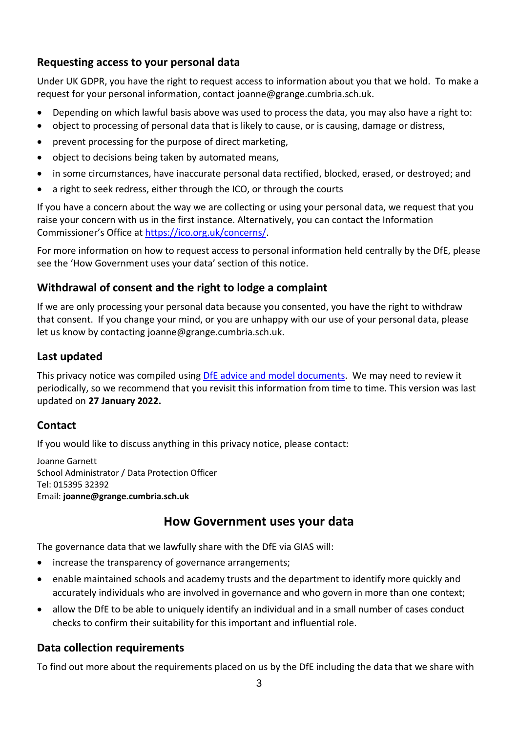### **Requesting access to your personal data**

Under UK GDPR, you have the right to request access to information about you that we hold. To make a request for your personal information, contact joanne@grange.cumbria.sch.uk.

- Depending on which lawful basis above was used to process the data, you may also have a right to:
- object to processing of personal data that is likely to cause, or is causing, damage or distress,
- prevent processing for the purpose of direct marketing,
- object to decisions being taken by automated means,
- in some circumstances, have inaccurate personal data rectified, blocked, erased, or destroyed; and
- a right to seek redress, either through the ICO, or through the courts

If you have a concern about the way we are collecting or using your personal data, we request that you raise your concern with us in the first instance. Alternatively, you can contact the Information Commissioner's Office at [https://ico.org.uk/concerns/.](https://ico.org.uk/concerns/)

For more information on how to request access to personal information held centrally by the DfE, please see the 'How Government uses your data' section of this notice.

## **Withdrawal of consent and the right to lodge a complaint**

If we are only processing your personal data because you consented, you have the right to withdraw that consent. If you change your mind, or you are unhappy with our use of your personal data, please let us know by contacting joanne@grange.cumbria.sch.uk.

## **Last updated**

This privacy notice was compiled using [DfE advice and model documents.](https://www.gov.uk/government/publications/data-protection-and-privacy-privacy-notices) We may need to review it periodically, so we recommend that you revisit this information from time to time. This version was last updated on **27 January 2022.**

#### **Contact**

If you would like to discuss anything in this privacy notice, please contact:

Joanne Garnett School Administrator / Data Protection Officer Tel: 015395 32392 Email: **joanne@grange.cumbria.sch.uk**

# **How Government uses your data**

The governance data that we lawfully share with the DfE via GIAS will:

- increase the transparency of governance arrangements;
- enable maintained schools and academy trusts and the department to identify more quickly and accurately individuals who are involved in governance and who govern in more than one context;
- allow the DfE to be able to uniquely identify an individual and in a small number of cases conduct checks to confirm their suitability for this important and influential role.

## **Data collection requirements**

To find out more about the requirements placed on us by the DfE including the data that we share with